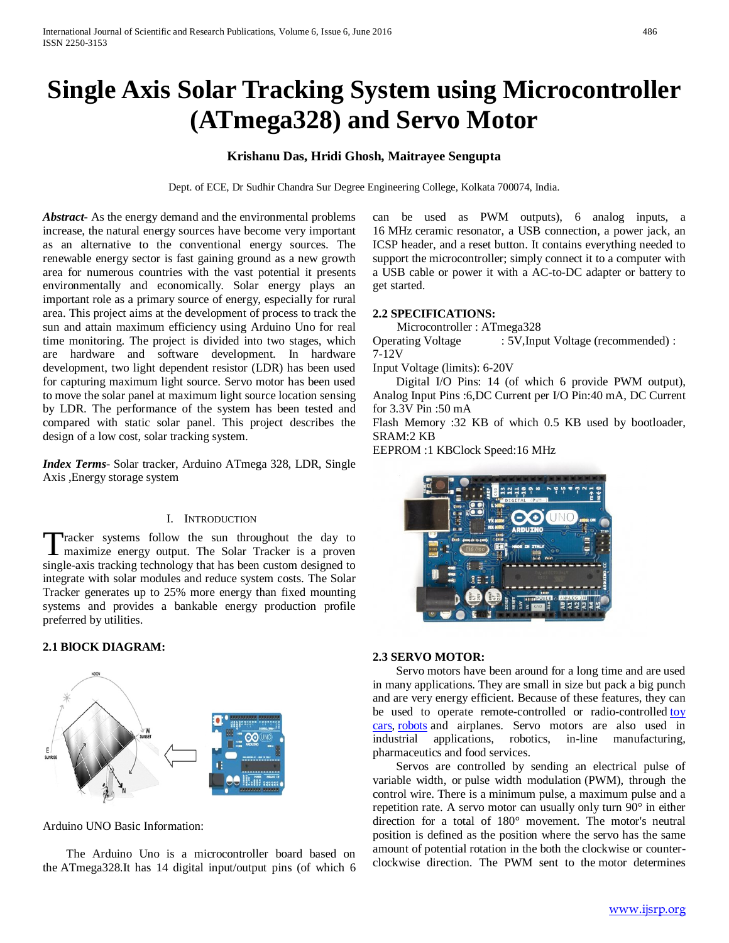# **Single Axis Solar Tracking System using Microcontroller (ATmega328) and Servo Motor**

# **Krishanu Das, Hridi Ghosh, Maitrayee Sengupta**

Dept. of ECE, Dr Sudhir Chandra Sur Degree Engineering College, Kolkata 700074, India.

*Abstract***-** As the energy demand and the environmental problems increase, the natural energy sources have become very important as an alternative to the conventional energy sources. The renewable energy sector is fast gaining ground as a new growth area for numerous countries with the vast potential it presents environmentally and economically. Solar energy plays an important role as a primary source of energy, especially for rural area. This project aims at the development of process to track the sun and attain maximum efficiency using Arduino Uno for real time monitoring. The project is divided into two stages, which are hardware and software development. In hardware development, two light dependent resistor (LDR) has been used for capturing maximum light source. Servo motor has been used to move the solar panel at maximum light source location sensing by LDR. The performance of the system has been tested and compared with static solar panel. This project describes the design of a low cost, solar tracking system.

*Index Terms*- Solar tracker, Arduino ATmega 328, LDR, Single Axis ,Energy storage system

## I. INTRODUCTION

Tracker systems follow the sun throughout the day to Tracker systems follow the sun throughout the day to maximize energy output. The Solar Tracker is a proven single-axis tracking technology that has been custom designed to integrate with solar modules and reduce system costs. The Solar Tracker generates up to 25% more energy than fixed mounting systems and provides a bankable energy production profile preferred by utilities.

## **2.1 BlOCK DIAGRAM:**



Arduino UNO Basic Information:

 The Arduino Uno is a microcontroller board based on the ATmega328.It has 14 digital input/output pins (of which 6 can be used as PWM outputs), 6 analog inputs, a 16 MHz ceramic resonator, a USB connection, a power jack, an ICSP header, and a reset button. It contains everything needed to support the microcontroller; simply connect it to a computer with a USB cable or power it with a AC-to-DC adapter or battery to get started.

#### **2.2 SPECIFICATIONS:**

Microcontroller : ATmega328

Operating Voltage : 5V,Input Voltage (recommended) : 7-12V

Input Voltage (limits): 6-20V

 Digital I/O Pins: 14 (of which 6 provide PWM output), Analog Input Pins :6,DC Current per I/O Pin:40 mA, DC Current for 3.3V Pin :50 mA

Flash Memory :32 KB of which 0.5 KB used by bootloader, SRAM:2 KB

EEPROM :1 KBClock Speed:16 MHz



#### **2.3 SERVO MOTOR:**

 Servo motors have been around for a long time and are used in many applications. They are small in size but pack a big punch and are very energy efficient. Because of these features, they can be used to operate remote-controlled or radio-controlled toy [cars,](http://www.jameco.com/webapp/wcs/stores/servlet/JamecoSearch?langId=-1&storeId=10001&catalogId=10001&categoryName=category_root&subCategoryName=Education%20%26%20Hobby%20Kits&category=70&refine=1&position=1&history=yajv7t0n%7CfreeText~cars%5Esearch_type~jamecoall%5EprodPage~15%5Epage~SEARCH%252BNAV) [robots](http://www.jameco.com/webapp/wcs/stores/servlet/JamecoSearch?langId=-1&storeId=10001&catalogId=10001&categoryName=category_root&subCategoryName=Robotics&category=75&refine=1&position=1&history=jpodqbl6%7CfreeText~robot%5Esearch_type~jamecoall%5EprodPage~15%5Epage~SEARCH%252BNAV) and airplanes. Servo motors are also used in industrial applications, robotics, in-line manufacturing, pharmaceutics and food services.

 Servos are controlled by sending an electrical pulse of variable width, or pulse width modulation (PWM), through the control wire. There is a minimum pulse, a maximum pulse and a repetition rate. A servo motor can usually only turn 90° in either direction for a total of 180° movement. The motor's neutral position is defined as the position where the servo has the same amount of potential rotation in the both the clockwise or counterclockwise direction. The PWM sent to the motor determines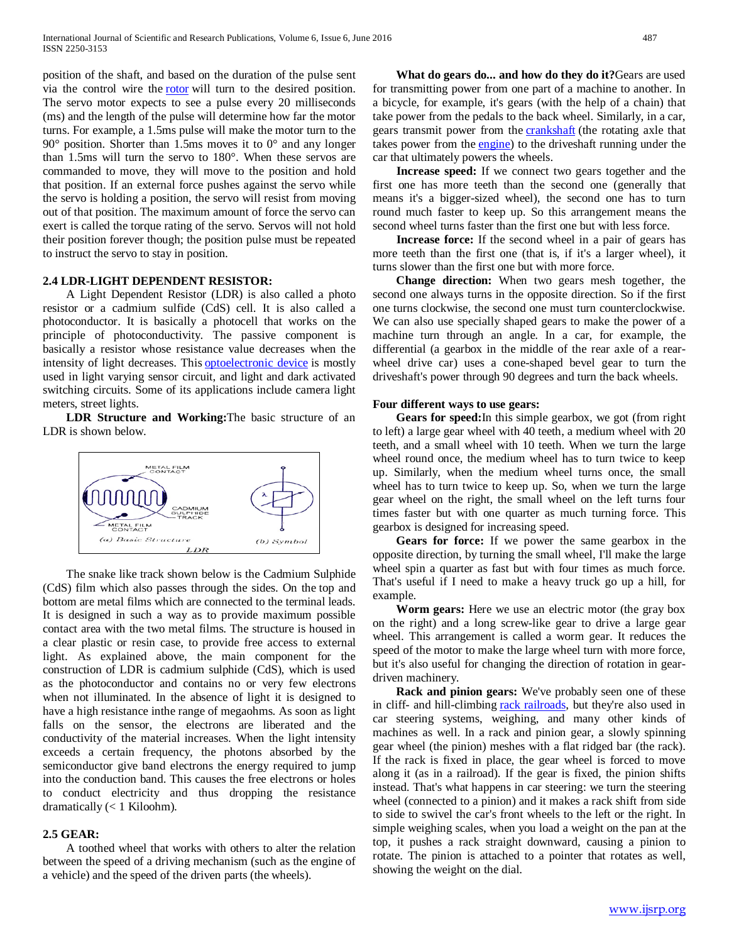position of the shaft, and based on the duration of the pulse sent via the control wire the [rotor](http://www.jameco.com/webapp/wcs/stores/servlet/JamecoSearch?langId=-1&storeId=10001&catalogId=10001&categoryName=cat_3540&subCategoryName=Electromechanical%20%2F%20Switches%20%2F%20Rotary&category=354055&refine=1&position=1&history=kv7hqebe%7CfreeText~rotor%5Esearch_type~jamecoall%5EprodPage~50%5Epage~SEARCH%252BNAV%405hha4bcd%7Ccategory~35%5EcategoryName~category_root%5Eposition~1%5Erefine~1%5EsubCategoryName~Electromechanical%5EprodPage~50%5Epage~SEARCH%252BNAV) will turn to the desired position. The servo motor expects to see a pulse every 20 milliseconds (ms) and the length of the pulse will determine how far the motor turns. For example, a 1.5ms pulse will make the motor turn to the  $90^\circ$  position. Shorter than 1.5ms moves it to  $0^\circ$  and any longer than 1.5ms will turn the servo to 180°. When these servos are commanded to move, they will move to the position and hold that position. If an external force pushes against the servo while the servo is holding a position, the servo will resist from moving out of that position. The maximum amount of force the servo can exert is called the torque rating of the servo. Servos will not hold their position forever though; the position pulse must be repeated to instruct the servo to stay in position.

# **2.4 LDR-LIGHT DEPENDENT RESISTOR:**

 A Light Dependent Resistor (LDR) is also called a photo resistor or a cadmium sulfide (CdS) cell. It is also called a photoconductor. It is basically a photocell that works on the principle of photoconductivity. The passive component is basically a resistor whose resistance value decreases when the intensity of light decreases. This [optoelectronic device](http://www.circuitstoday.com/optoelectronic-devices) is mostly used in light varying sensor circuit, and light and dark activated switching circuits. Some of its applications include camera light meters, street lights.

 **LDR Structure and Working:**The basic structure of an LDR is shown below.



 The snake like track shown below is the Cadmium Sulphide (CdS) film which also passes through the sides. On the top and bottom are metal films which are connected to the terminal leads. It is designed in such a way as to provide maximum possible contact area with the two metal films. The structure is housed in a clear plastic or resin case, to provide free access to external light. As explained above, the main component for the construction of LDR is cadmium sulphide (CdS), which is used as the photoconductor and contains no or very few electrons when not illuminated. In the absence of light it is designed to have a high resistance inthe range of megaohms. As soon as light falls on the sensor, the electrons are liberated and the conductivity of the material increases. When the light intensity exceeds a certain frequency, the photons absorbed by the semiconductor give band electrons the energy required to jump into the conduction band. This causes the free electrons or holes to conduct electricity and thus dropping the resistance dramatically (< 1 Kiloohm).

# **2.5 GEAR:**

 A toothed wheel that works with others to alter the relation between the speed of a driving mechanism (such as the engine of a vehicle) and the speed of the driven parts (the wheels).

 **What do gears do... and how do they do it?**Gears are used for transmitting power from one part of a machine to another. In a bicycle, for example, it's gears (with the help of a chain) that take power from the pedals to the back wheel. Similarly, in a car, gears transmit power from the **[crankshaft](http://www.explainthatstuff.com/cranks-and-cams.html)** (the rotating axle that takes power from the [engine\)](http://www.explainthatstuff.com/carengines.html) to the driveshaft running under the car that ultimately powers the wheels.

 **Increase speed:** If we connect two gears together and the first one has more teeth than the second one (generally that means it's a bigger-sized wheel), the second one has to turn round much faster to keep up. So this arrangement means the second wheel turns faster than the first one but with less force.

 **Increase force:** If the second wheel in a pair of gears has more teeth than the first one (that is, if it's a larger wheel), it turns slower than the first one but with more force.

 **Change direction:** When two gears mesh together, the second one always turns in the opposite direction. So if the first one turns clockwise, the second one must turn counterclockwise. We can also use specially shaped gears to make the power of a machine turn through an angle. In a car, for example, the differential (a gearbox in the middle of the rear axle of a rearwheel drive car) uses a cone-shaped bevel gear to turn the driveshaft's power through 90 degrees and turn the back wheels.

## **Four different ways to use gears:**

 **Gears for speed:**In this simple gearbox, we got (from right to left) a large gear wheel with 40 teeth, a medium wheel with 20 teeth, and a small wheel with 10 teeth. When we turn the large wheel round once, the medium wheel has to turn twice to keep up. Similarly, when the medium wheel turns once, the small wheel has to turn twice to keep up. So, when we turn the large gear wheel on the right, the small wheel on the left turns four times faster but with one quarter as much turning force. This gearbox is designed for increasing speed.

 **Gears for force:** If we power the same gearbox in the opposite direction, by turning the small wheel, I'll make the large wheel spin a quarter as fast but with four times as much force. That's useful if I need to make a heavy truck go up a hill, for example.

 **Worm gears:** Here we use an electric motor (the gray box on the right) and a long screw-like gear to drive a large gear wheel. This arrangement is called a worm gear. It reduces the speed of the motor to make the large wheel turn with more force, but it's also useful for changing the direction of rotation in geardriven machinery.

 **Rack and pinion gears:** We've probably seen one of these in cliff- and hill-climbing [rack railroads,](http://en.wikipedia.org/wiki/Rack_railway) but they're also used in car steering systems, weighing, and many other kinds of machines as well. In a rack and pinion gear, a slowly spinning gear wheel (the pinion) meshes with a flat ridged bar (the rack). If the rack is fixed in place, the gear wheel is forced to move along it (as in a railroad). If the gear is fixed, the pinion shifts instead. That's what happens in car steering: we turn the steering wheel (connected to a pinion) and it makes a rack shift from side to side to swivel the car's front wheels to the left or the right. In simple weighing scales, when you load a weight on the pan at the top, it pushes a rack straight downward, causing a pinion to rotate. The pinion is attached to a pointer that rotates as well, showing the weight on the dial.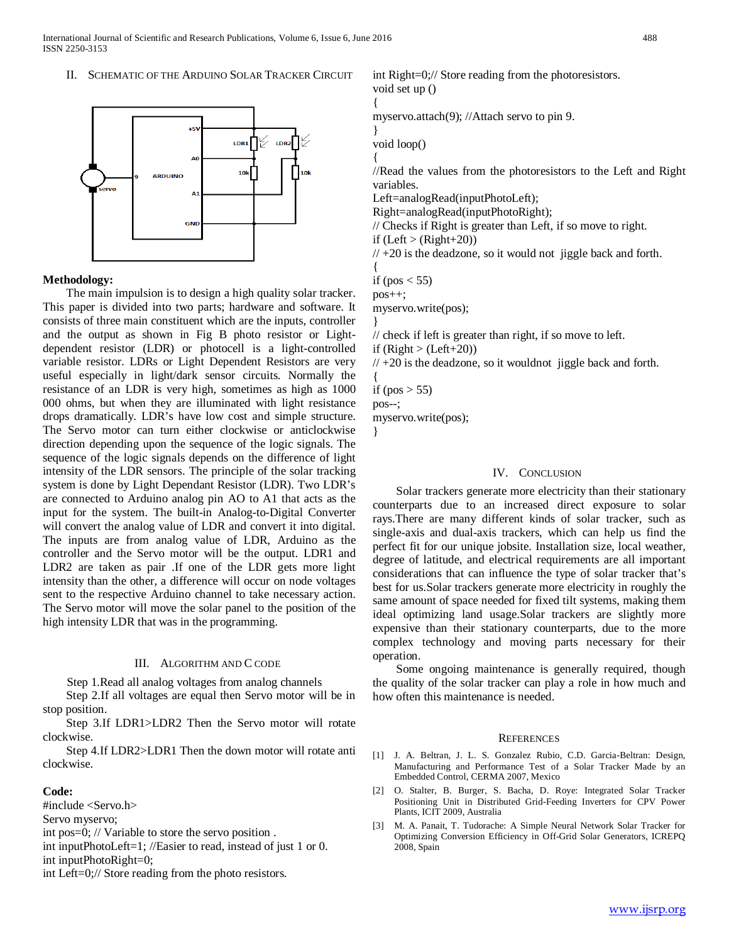## II. SCHEMATIC OF THE ARDUINO SOLAR TRACKER CIRCUIT



## **Methodology:**

 The main impulsion is to design a high quality solar tracker. This paper is divided into two parts; hardware and software. It consists of three main constituent which are the inputs, controller and the output as shown in Fig B photo resistor or Lightdependent resistor (LDR) or photocell is a light-controlled variable resistor. LDRs or Light Dependent Resistors are very useful especially in light/dark sensor circuits. Normally the resistance of an LDR is very high, sometimes as high as 1000 000 ohms, but when they are illuminated with light resistance drops dramatically. LDR's have low cost and simple structure. The Servo motor can turn either clockwise or anticlockwise direction depending upon the sequence of the logic signals. The sequence of the logic signals depends on the difference of light intensity of the LDR sensors. The principle of the solar tracking system is done by Light Dependant Resistor (LDR). Two LDR's are connected to Arduino analog pin AO to A1 that acts as the input for the system. The built-in Analog-to-Digital Converter will convert the analog value of LDR and convert it into digital. The inputs are from analog value of LDR, Arduino as the controller and the Servo motor will be the output. LDR1 and LDR2 are taken as pair .If one of the LDR gets more light intensity than the other, a difference will occur on node voltages sent to the respective Arduino channel to take necessary action. The Servo motor will move the solar panel to the position of the high intensity LDR that was in the programming.

#### III. ALGORITHM AND C CODE

Step 1.Read all analog voltages from analog channels

 Step 2.If all voltages are equal then Servo motor will be in stop position.

 Step 3.If LDR1>LDR2 Then the Servo motor will rotate clockwise.

 Step 4.If LDR2>LDR1 Then the down motor will rotate anti clockwise.

### **Code:**

#include <Servo.h>

Servo myservo;

int pos=0; // Variable to store the servo position .

int inputPhotoLeft=1; //Easier to read, instead of just 1 or 0. int inputPhotoRight=0;

int Left=0;// Store reading from the photo resistors.

int Right=0;// Store reading from the photoresistors. void set up () {

myservo.attach(9); //Attach servo to pin 9.

void loop()

}

{

//Read the values from the photoresistors to the Left and Right variables.

Left=analogRead(inputPhotoLeft);

Right=analogRead(inputPhotoRight);

// Checks if Right is greater than Left, if so move to right.

if  $(Left > (Right + 20))$ 

 $// +20$  is the deadzone, so it would not jiggle back and forth.

{ if (pos  $<$  55)

pos++;

myservo.write(pos);

// check if left is greater than right, if so move to left. if  $(Right > (Left+20))$ 

 $// +20$  is the deadzone, so it wouldnot jiggle back and forth.

{ if (pos  $> 55$ ) pos--; myservo.write(pos);

}

}

#### IV. CONCLUSION

 Solar trackers generate more electricity than their stationary counterparts due to an increased direct exposure to solar rays.There are many different kinds of solar tracker, such as single-axis and dual-axis trackers, which can help us find the perfect fit for our unique jobsite. Installation size, local weather, degree of latitude, and electrical requirements are all important considerations that can influence the type of solar tracker that's best for us.Solar trackers generate more electricity in roughly the same amount of space needed for fixed tilt systems, making them ideal optimizing land usage.Solar trackers are slightly more expensive than their stationary counterparts, due to the more complex technology and moving parts necessary for their operation.

 Some ongoing maintenance is generally required, though the quality of the solar tracker can play a role in how much and how often this maintenance is needed.

#### **REFERENCES**

- [1] J. A. Beltran, J. L. S. Gonzalez Rubio, C.D. Garcia-Beltran: Design, Manufacturing and Performance Test of a Solar Tracker Made by an Embedded Control, CERMA 2007, Mexico
- [2] O. Stalter, B. Burger, S. Bacha, D. Roye: Integrated Solar Tracker Positioning Unit in Distributed Grid-Feeding Inverters for CPV Power Plants, ICIT 2009, Australia
- [3] M. A. Panait, T. Tudorache: A Simple Neural Network Solar Tracker for Optimizing Conversion Efficiency in Off-Grid Solar Generators, ICREPQ 2008, Spain